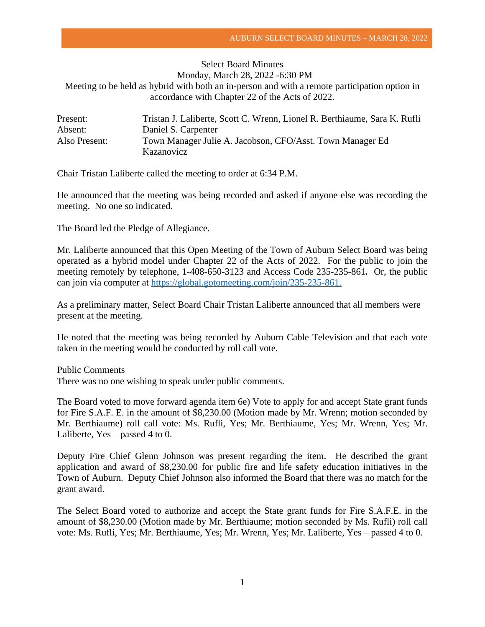## Select Board Minutes Monday, March 28, 2022 -6:30 PM Meeting to be held as hybrid with both an in-person and with a remote participation option in accordance with Chapter 22 of the Acts of 2022.

| Present:      | Tristan J. Laliberte, Scott C. Wrenn, Lionel R. Berthiaume, Sara K. Rufli |
|---------------|---------------------------------------------------------------------------|
| Absent:       | Daniel S. Carpenter                                                       |
| Also Present: | Town Manager Julie A. Jacobson, CFO/Asst. Town Manager Ed                 |
|               | Kazanovicz                                                                |

Chair Tristan Laliberte called the meeting to order at 6:34 P.M.

He announced that the meeting was being recorded and asked if anyone else was recording the meeting. No one so indicated.

The Board led the Pledge of Allegiance.

Mr. Laliberte announced that this Open Meeting of the Town of Auburn Select Board was being operated as a hybrid model under Chapter 22 of the Acts of 2022. For the public to join the meeting remotely by telephone, 1-408-650-3123 and Access Code 235-235-861*.* Or, the public can join via computer at [https://global.gotomeeting.com/join/235-235-861.](https://global.gotomeeting.com/join/235-235-861)

As a preliminary matter, Select Board Chair Tristan Laliberte announced that all members were present at the meeting.

He noted that the meeting was being recorded by Auburn Cable Television and that each vote taken in the meeting would be conducted by roll call vote.

Public Comments

There was no one wishing to speak under public comments.

The Board voted to move forward agenda item 6e) Vote to apply for and accept State grant funds for Fire S.A.F. E. in the amount of \$8,230.00 (Motion made by Mr. Wrenn; motion seconded by Mr. Berthiaume) roll call vote: Ms. Rufli, Yes; Mr. Berthiaume, Yes; Mr. Wrenn, Yes; Mr. Laliberte, Yes – passed 4 to 0.

Deputy Fire Chief Glenn Johnson was present regarding the item. He described the grant application and award of \$8,230.00 for public fire and life safety education initiatives in the Town of Auburn. Deputy Chief Johnson also informed the Board that there was no match for the grant award.

The Select Board voted to authorize and accept the State grant funds for Fire S.A.F.E. in the amount of \$8,230.00 (Motion made by Mr. Berthiaume; motion seconded by Ms. Rufli) roll call vote: Ms. Rufli, Yes; Mr. Berthiaume, Yes; Mr. Wrenn, Yes; Mr. Laliberte, Yes – passed 4 to 0.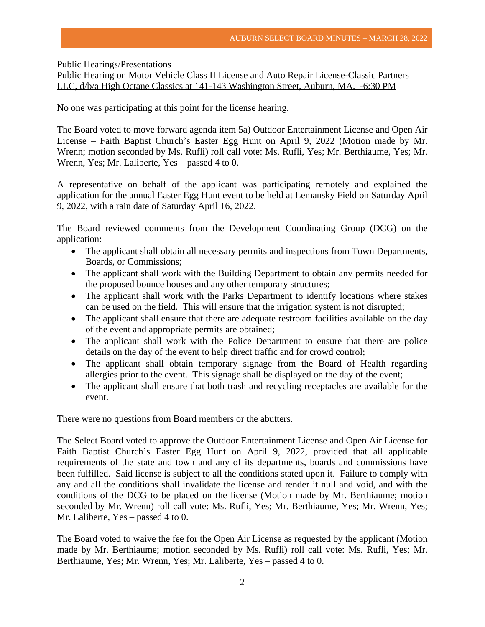Public Hearings/Presentations

Public Hearing on Motor Vehicle Class II License and Auto Repair License-Classic Partners LLC, d/b/a High Octane Classics at 141-143 Washington Street, Auburn, MA. -6:30 PM

No one was participating at this point for the license hearing.

The Board voted to move forward agenda item 5a) Outdoor Entertainment License and Open Air License – Faith Baptist Church's Easter Egg Hunt on April 9, 2022 (Motion made by Mr. Wrenn; motion seconded by Ms. Rufli) roll call vote: Ms. Rufli, Yes; Mr. Berthiaume, Yes; Mr. Wrenn, Yes; Mr. Laliberte, Yes – passed 4 to 0.

A representative on behalf of the applicant was participating remotely and explained the application for the annual Easter Egg Hunt event to be held at Lemansky Field on Saturday April 9, 2022, with a rain date of Saturday April 16, 2022.

The Board reviewed comments from the Development Coordinating Group (DCG) on the application:

- The applicant shall obtain all necessary permits and inspections from Town Departments, Boards, or Commissions;
- The applicant shall work with the Building Department to obtain any permits needed for the proposed bounce houses and any other temporary structures;
- The applicant shall work with the Parks Department to identify locations where stakes can be used on the field. This will ensure that the irrigation system is not disrupted;
- The applicant shall ensure that there are adequate restroom facilities available on the day of the event and appropriate permits are obtained;
- The applicant shall work with the Police Department to ensure that there are police details on the day of the event to help direct traffic and for crowd control;
- The applicant shall obtain temporary signage from the Board of Health regarding allergies prior to the event. This signage shall be displayed on the day of the event;
- The applicant shall ensure that both trash and recycling receptacles are available for the event.

There were no questions from Board members or the abutters.

The Select Board voted to approve the Outdoor Entertainment License and Open Air License for Faith Baptist Church's Easter Egg Hunt on April 9, 2022, provided that all applicable requirements of the state and town and any of its departments, boards and commissions have been fulfilled. Said license is subject to all the conditions stated upon it. Failure to comply with any and all the conditions shall invalidate the license and render it null and void, and with the conditions of the DCG to be placed on the license (Motion made by Mr. Berthiaume; motion seconded by Mr. Wrenn) roll call vote: Ms. Rufli, Yes; Mr. Berthiaume, Yes; Mr. Wrenn, Yes; Mr. Laliberte, Yes – passed 4 to 0.

The Board voted to waive the fee for the Open Air License as requested by the applicant (Motion made by Mr. Berthiaume; motion seconded by Ms. Rufli) roll call vote: Ms. Rufli, Yes; Mr. Berthiaume, Yes; Mr. Wrenn, Yes; Mr. Laliberte, Yes – passed 4 to 0.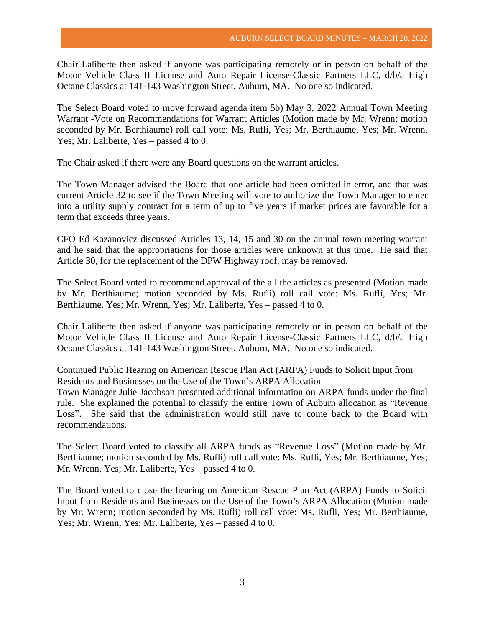Chair Laliberte then asked if anyone was participating remotely or in person on behalf of the Motor Vehicle Class II License and Auto Repair License-Classic Partners LLC, d/b/a High Octane Classics at 141-143 Washington Street, Auburn, MA. No one so indicated.

The Select Board voted to move forward agenda item 5b) May 3, 2022 Annual Town Meeting Warrant -Vote on Recommendations for Warrant Articles (Motion made by Mr. Wrenn; motion seconded by Mr. Berthiaume) roll call vote: Ms. Rufli, Yes; Mr. Berthiaume, Yes; Mr. Wrenn, Yes; Mr. Laliberte, Yes – passed 4 to 0.

The Chair asked if there were any Board questions on the warrant articles.

The Town Manager advised the Board that one article had been omitted in error, and that was current Article 32 to see if the Town Meeting will vote to authorize the Town Manager to enter into a utility supply contract for a term of up to five years if market prices are favorable for a term that exceeds three years.

CFO Ed Kazanovicz discussed Articles 13, 14, 15 and 30 on the annual town meeting warrant and he said that the appropriations for those articles were unknown at this time. He said that Article 30, for the replacement of the DPW Highway roof, may be removed.

The Select Board voted to recommend approval of the all the articles as presented (Motion made by Mr. Berthiaume; motion seconded by Ms. Rufli) roll call vote: Ms. Rufli, Yes; Mr. Berthiaume, Yes; Mr. Wrenn, Yes; Mr. Laliberte, Yes – passed 4 to 0.

Chair Laliberte then asked if anyone was participating remotely or in person on behalf of the Motor Vehicle Class II License and Auto Repair License-Classic Partners LLC, d/b/a High Octane Classics at 141-143 Washington Street, Auburn, MA. No one so indicated.

## Continued Public Hearing on American Rescue Plan Act (ARPA) Funds to Solicit Input from Residents and Businesses on the Use of the Town's ARPA Allocation

Town Manager Julie Jacobson presented additional information on ARPA funds under the final rule. She explained the potential to classify the entire Town of Auburn allocation as "Revenue Loss". She said that the administration would still have to come back to the Board with recommendations.

The Select Board voted to classify all ARPA funds as "Revenue Loss" (Motion made by Mr. Berthiaume; motion seconded by Ms. Rufli) roll call vote: Ms. Rufli, Yes; Mr. Berthiaume, Yes; Mr. Wrenn, Yes; Mr. Laliberte, Yes – passed 4 to 0.

The Board voted to close the hearing on American Rescue Plan Act (ARPA) Funds to Solicit Input from Residents and Businesses on the Use of the Town's ARPA Allocation (Motion made by Mr. Wrenn; motion seconded by Ms. Rufli) roll call vote: Ms. Rufli, Yes; Mr. Berthiaume, Yes; Mr. Wrenn, Yes; Mr. Laliberte, Yes – passed 4 to 0.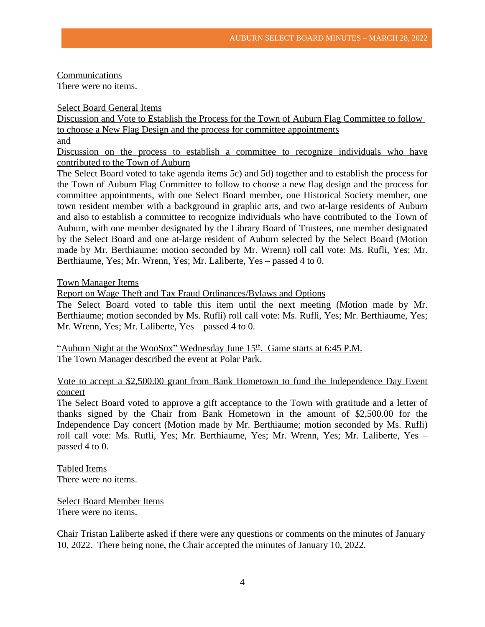Communications

There were no items.

Select Board General Items

Discussion and Vote to Establish the Process for the Town of Auburn Flag Committee to follow to choose a New Flag Design and the process for committee appointments and

Discussion on the process to establish a committee to recognize individuals who have contributed to the Town of Auburn

The Select Board voted to take agenda items 5c) and 5d) together and to establish the process for the Town of Auburn Flag Committee to follow to choose a new flag design and the process for committee appointments, with one Select Board member, one Historical Society member, one town resident member with a background in graphic arts, and two at-large residents of Auburn and also to establish a committee to recognize individuals who have contributed to the Town of Auburn, with one member designated by the Library Board of Trustees, one member designated by the Select Board and one at-large resident of Auburn selected by the Select Board (Motion made by Mr. Berthiaume; motion seconded by Mr. Wrenn) roll call vote: Ms. Rufli, Yes; Mr. Berthiaume, Yes; Mr. Wrenn, Yes; Mr. Laliberte, Yes – passed 4 to 0.

Town Manager Items

Report on Wage Theft and Tax Fraud Ordinances/Bylaws and Options

The Select Board voted to table this item until the next meeting (Motion made by Mr. Berthiaume; motion seconded by Ms. Rufli) roll call vote: Ms. Rufli, Yes; Mr. Berthiaume, Yes; Mr. Wrenn, Yes; Mr. Laliberte, Yes – passed 4 to 0.

"Auburn Night at the WooSox" Wednesday June 15<sup>th</sup>. Game starts at 6:45 P.M. The Town Manager described the event at Polar Park.

Vote to accept a \$2,500.00 grant from Bank Hometown to fund the Independence Day Event concert

The Select Board voted to approve a gift acceptance to the Town with gratitude and a letter of thanks signed by the Chair from Bank Hometown in the amount of \$2,500.00 for the Independence Day concert (Motion made by Mr. Berthiaume; motion seconded by Ms. Rufli) roll call vote: Ms. Rufli, Yes; Mr. Berthiaume, Yes; Mr. Wrenn, Yes; Mr. Laliberte, Yes – passed 4 to 0.

Tabled Items There were no items.

Select Board Member Items There were no items.

Chair Tristan Laliberte asked if there were any questions or comments on the minutes of January 10, 2022. There being none, the Chair accepted the minutes of January 10, 2022.